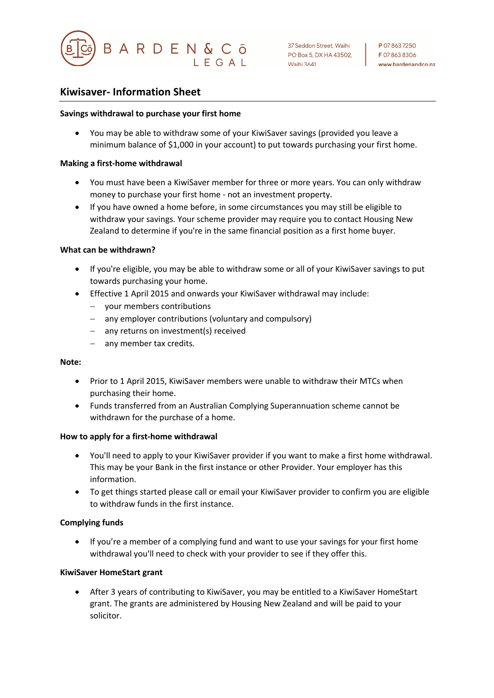

**Maihi 3641** 

# **Kiwisaver- Information Sheet**

### **Savings withdrawal to purchase your first home**

• You may be able to withdraw some of your KiwiSaver savings (provided you leave a minimum balance of \$1,000 in your account) to put towards purchasing your first home.

#### **Making a first-home withdrawal**

- You must have been a KiwiSaver member for three or more years. You can only withdraw money to purchase your first home - not an investment property.
- If you have owned a home before, in some circumstances you may still be eligible to withdraw your savings. Your scheme provider may require you to contact Housing New Zealand to determine if you're in the same financial position as a first home buyer.

### **What can be withdrawn?**

- If you're eligible, you may be able to withdraw some or all of your KiwiSaver savings to put towards purchasing your home.
- Effective 1 April 2015 and onwards your KiwiSaver withdrawal may include:
	- your members contributions
	- any employer contributions (voluntary and compulsory)
	- any returns on investment(s) received
	- any member tax credits.

#### **Note:**

- Prior to 1 April 2015, KiwiSaver members were unable to withdraw their MTCs when purchasing their home.
- Funds transferred from an Australian Complying Superannuation scheme cannot be withdrawn for the purchase of a home.

#### **How to apply for a first-home withdrawal**

- You'll need to apply to your KiwiSaver provider if you want to make a first home withdrawal. This may be your Bank in the first instance or other Provider. Your employer has this information.
- To get things started please call or email your KiwiSaver provider to confirm you are eligible to withdraw funds in the first instance.

## **Complying funds**

• If you're a member of a complying fund and want to use your savings for your first home withdrawal you'll need to check with your provider to see if they offer this.

## **KiwiSaver HomeStart grant**

• After 3 years of contributing to KiwiSaver, you may be entitled to a KiwiSaver HomeStart grant. The grants are administered by Housing New Zealand and will be paid to your solicitor.